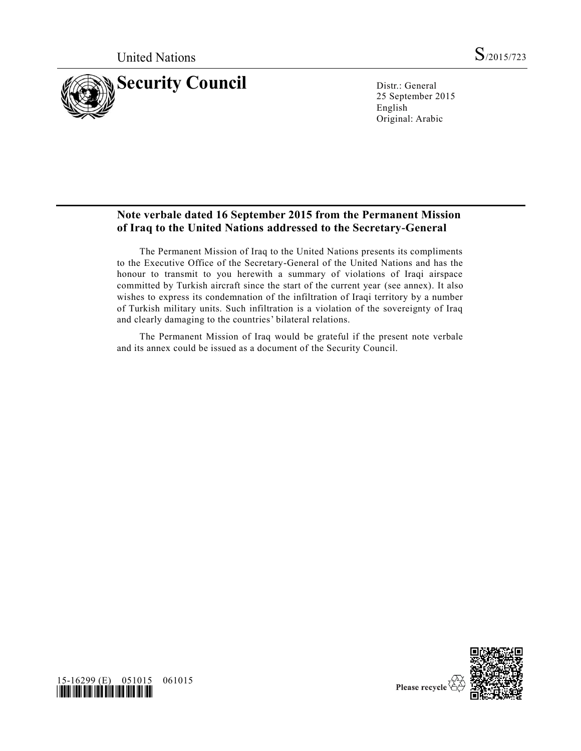

25 September 2015 English Original: Arabic

## **Note verbale dated 16 September 2015 from the Permanent Mission of Iraq to the United Nations addressed to the Secretary-General**

The Permanent Mission of Iraq to the United Nations presents its compliments to the Executive Office of the Secretary-General of the United Nations and has the honour to transmit to you herewith a summary of violations of Iraqi airspace committed by Turkish aircraft since the start of the current year (see annex). It also wishes to express its condemnation of the infiltration of Iraqi territory by a number of Turkish military units. Such infiltration is a violation of the sovereignty of Iraq and clearly damaging to the countries' bilateral relations.

The Permanent Mission of Iraq would be grateful if the present note verbale and its annex could be issued as a document of the Security Council.



15-16299 (E) 051015 061015 *\*1516299\**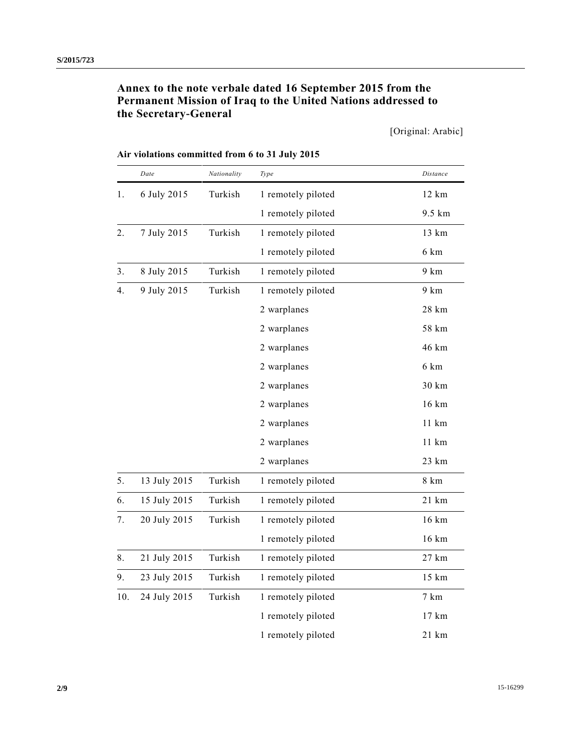# **Annex to the note verbale dated 16 September 2015 from the Permanent Mission of Iraq to the United Nations addressed to the Secretary-General**

[Original: Arabic]

|                  | Date         | Nationality | Type               | Distance        |
|------------------|--------------|-------------|--------------------|-----------------|
| 1.               | 6 July 2015  | Turkish     | 1 remotely piloted | 12 km           |
|                  |              |             | 1 remotely piloted | 9.5 km          |
| $\overline{2}$ . | 7 July 2015  | Turkish     | 1 remotely piloted | 13 km           |
|                  |              |             | 1 remotely piloted | 6 km            |
| 3 <sub>1</sub>   | 8 July 2015  | Turkish     | 1 remotely piloted | 9 km            |
| 4.               | 9 July 2015  | Turkish     | 1 remotely piloted | 9 km            |
|                  |              |             | 2 warplanes        | 28 km           |
|                  |              |             | 2 warplanes        | 58 km           |
|                  |              |             | 2 warplanes        | 46 km           |
|                  |              |             | 2 warplanes        | 6 km            |
|                  |              |             | 2 warplanes        | 30 km           |
|                  |              |             | 2 warplanes        | 16 km           |
|                  |              |             | 2 warplanes        | 11 km           |
|                  |              |             | 2 warplanes        | 11 km           |
|                  |              |             | 2 warplanes        | $23 \text{ km}$ |
| 5.               | 13 July 2015 | Turkish     | 1 remotely piloted | 8 km            |
| 6.               | 15 July 2015 | Turkish     | 1 remotely piloted | 21 km           |
| 7.               | 20 July 2015 | Turkish     | 1 remotely piloted | 16 km           |
|                  |              |             | 1 remotely piloted | 16 km           |
| 8.               | 21 July 2015 | Turkish     | 1 remotely piloted | 27 km           |
| 9.               | 23 July 2015 | Turkish     | 1 remotely piloted | 15 km           |
| 10.              | 24 July 2015 | Turkish     | 1 remotely piloted | 7 km            |
|                  |              |             | 1 remotely piloted | 17 km           |
|                  |              |             | 1 remotely piloted | 21 km           |

#### **Air violations committed from 6 to 31 July 2015**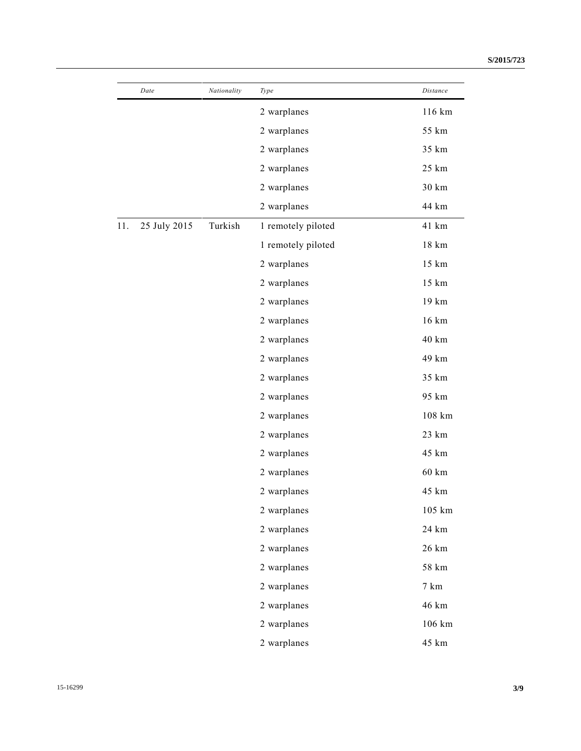| Date                | Nationality | Type               | Distance |
|---------------------|-------------|--------------------|----------|
|                     |             | 2 warplanes        | 116 km   |
|                     |             | 2 warplanes        | 55 km    |
|                     |             | 2 warplanes        | 35 km    |
|                     |             | 2 warplanes        | 25 km    |
|                     |             | 2 warplanes        | 30 km    |
|                     |             | 2 warplanes        | 44 km    |
| 11.<br>25 July 2015 | Turkish     | 1 remotely piloted | 41 km    |
|                     |             | 1 remotely piloted | 18 km    |
|                     |             | 2 warplanes        | 15 km    |
|                     |             | 2 warplanes        | 15 km    |
|                     |             | 2 warplanes        | 19 km    |
|                     |             | 2 warplanes        | 16 km    |
|                     |             | 2 warplanes        | 40 km    |
|                     |             | 2 warplanes        | 49 km    |
|                     |             | 2 warplanes        | 35 km    |
|                     |             | 2 warplanes        | 95 km    |
|                     |             | 2 warplanes        | 108 km   |
|                     |             | 2 warplanes        | 23 km    |
|                     |             | 2 warplanes        | 45 km    |
|                     |             | 2 warplanes        | 60 km    |
|                     |             | 2 warplanes        | 45 km    |
|                     |             | 2 warplanes        | 105 km   |
|                     |             | 2 warplanes        | 24 km    |
|                     |             | 2 warplanes        | 26 km    |
|                     |             | 2 warplanes        | 58 km    |
|                     |             | 2 warplanes        | 7 km     |
|                     |             | 2 warplanes        | 46 km    |
|                     |             | 2 warplanes        | 106 km   |
|                     |             | 2 warplanes        | 45 km    |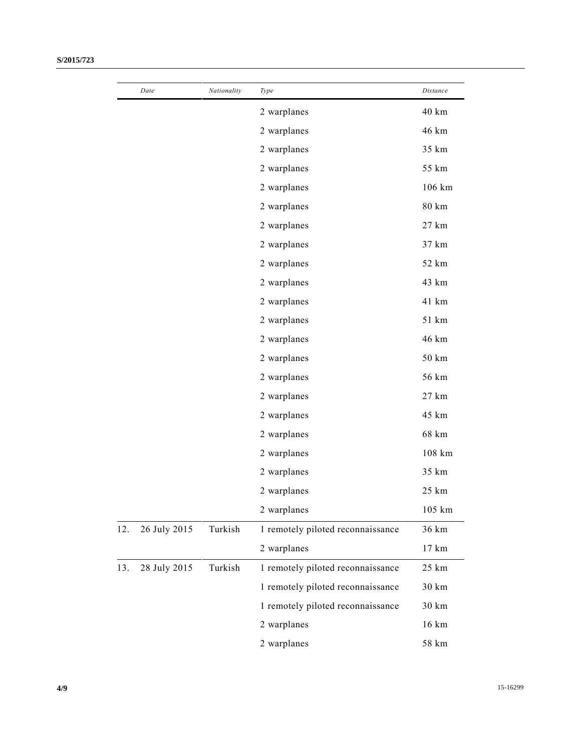|     | Date         | Nationality | Type                              | Distance |
|-----|--------------|-------------|-----------------------------------|----------|
|     |              |             | 2 warplanes                       | 40 km    |
|     |              |             | 2 warplanes                       | 46 km    |
|     |              |             | 2 warplanes                       | 35 km    |
|     |              |             | 2 warplanes                       | 55 km    |
|     |              |             | 2 warplanes                       | 106 km   |
|     |              |             | 2 warplanes                       | 80 km    |
|     |              |             | 2 warplanes                       | 27 km    |
|     |              |             | 2 warplanes                       | 37 km    |
|     |              |             | 2 warplanes                       | 52 km    |
|     |              |             | 2 warplanes                       | 43 km    |
|     |              |             | 2 warplanes                       | 41 km    |
|     |              |             | 2 warplanes                       | 51 km    |
|     |              |             | 2 warplanes                       | 46 km    |
|     |              |             | 2 warplanes                       | 50 km    |
|     |              |             | 2 warplanes                       | 56 km    |
|     |              |             | 2 warplanes                       | 27 km    |
|     |              |             | 2 warplanes                       | 45 km    |
|     |              |             | 2 warplanes                       | 68 km    |
|     |              |             | 2 warplanes                       | 108 km   |
|     |              |             | 2 warplanes                       | 35 km    |
|     |              |             | 2 warplanes                       | 25 km    |
|     |              |             | 2 warplanes                       | 105 km   |
| 12. | 26 July 2015 | Turkish     | 1 remotely piloted reconnaissance | 36 km    |
|     |              |             | 2 warplanes                       | 17 km    |
| 13. | 28 July 2015 | Turkish     | 1 remotely piloted reconnaissance | 25 km    |
|     |              |             | 1 remotely piloted reconnaissance | 30 km    |
|     |              |             | 1 remotely piloted reconnaissance | 30 km    |
|     |              |             | 2 warplanes                       | 16 km    |
|     |              |             | 2 warplanes                       | 58 km    |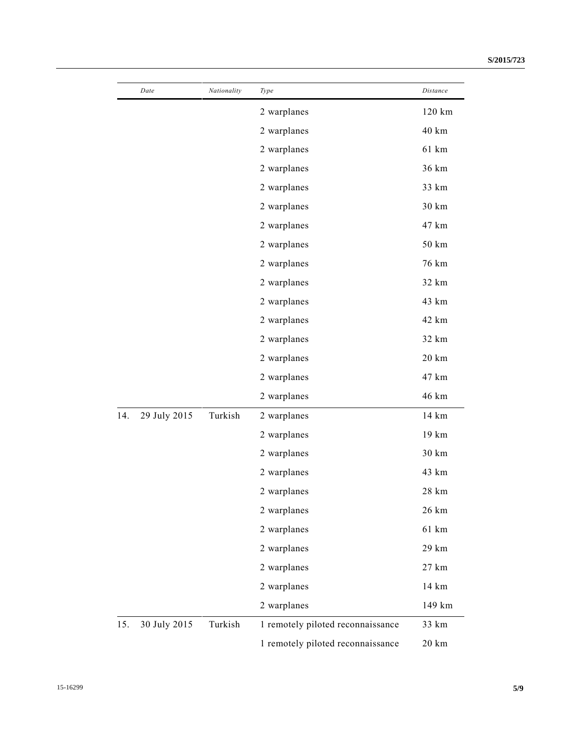|     | Date         | Nationality | Type                              | Distance        |
|-----|--------------|-------------|-----------------------------------|-----------------|
|     |              |             | 2 warplanes                       | 120 km          |
|     |              |             | 2 warplanes                       | 40 km           |
|     |              |             | 2 warplanes                       | 61 km           |
|     |              |             | 2 warplanes                       | 36 km           |
|     |              |             | 2 warplanes                       | 33 km           |
|     |              |             | 2 warplanes                       | 30 km           |
|     |              |             | 2 warplanes                       | 47 km           |
|     |              |             | 2 warplanes                       | 50 km           |
|     |              |             | 2 warplanes                       | 76 km           |
|     |              |             | 2 warplanes                       | 32 km           |
|     |              |             | 2 warplanes                       | 43 km           |
|     |              |             | 2 warplanes                       | 42 km           |
|     |              |             | 2 warplanes                       | 32 km           |
|     |              |             | 2 warplanes                       | 20 km           |
|     |              |             | 2 warplanes                       | 47 km           |
|     |              |             | 2 warplanes                       | 46 km           |
| 14. | 29 July 2015 | Turkish     | 2 warplanes                       | 14 km           |
|     |              |             | 2 warplanes                       | 19 km           |
|     |              |             | 2 warplanes                       | 30 km           |
|     |              |             | 2 warplanes                       | 43 km           |
|     |              |             | 2 warplanes                       | 28 km           |
|     |              |             | 2 warplanes                       | 26 km           |
|     |              |             | 2 warplanes                       | 61 km           |
|     |              |             | 2 warplanes                       | 29 km           |
|     |              |             | 2 warplanes                       | 27 km           |
|     |              |             | 2 warplanes                       | 14 km           |
|     |              |             | 2 warplanes                       | 149 km          |
| 15. | 30 July 2015 | Turkish     | 1 remotely piloted reconnaissance | 33 km           |
|     |              |             | 1 remotely piloted reconnaissance | $20 \text{ km}$ |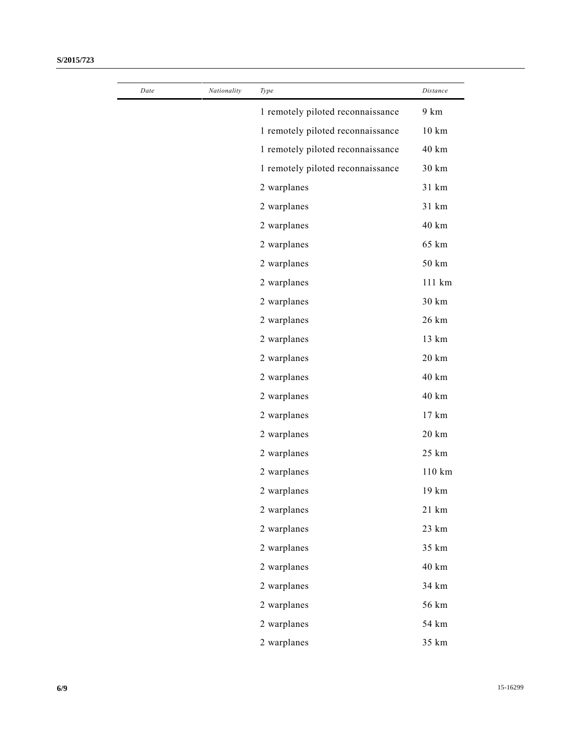| Date | Nationality | Type                              | Distance        |
|------|-------------|-----------------------------------|-----------------|
|      |             | 1 remotely piloted reconnaissance | 9 km            |
|      |             | 1 remotely piloted reconnaissance | $10 \text{ km}$ |
|      |             | 1 remotely piloted reconnaissance | 40 km           |
|      |             | 1 remotely piloted reconnaissance | 30 km           |
|      |             | 2 warplanes                       | 31 km           |
|      |             | 2 warplanes                       | 31 km           |
|      |             | 2 warplanes                       | 40 km           |
|      |             | 2 warplanes                       | 65 km           |
|      |             | 2 warplanes                       | 50 km           |
|      |             | 2 warplanes                       | 111 km          |
|      |             | 2 warplanes                       | 30 km           |
|      |             | 2 warplanes                       | 26 km           |
|      |             | 2 warplanes                       | 13 km           |
|      |             | 2 warplanes                       | 20 km           |
|      |             | 2 warplanes                       | 40 km           |
|      |             | 2 warplanes                       | 40 km           |
|      |             | 2 warplanes                       | 17 km           |
|      |             | 2 warplanes                       | 20 km           |
|      |             | 2 warplanes                       | 25 km           |
|      |             | 2 warplanes                       | 110 km          |
|      |             | 2 warplanes                       | 19 km           |
|      |             | 2 warplanes                       | 21 km           |
|      |             | 2 warplanes                       | 23 km           |
|      |             | 2 warplanes                       | 35 km           |
|      |             | 2 warplanes                       | 40 km           |
|      |             | 2 warplanes                       | 34 km           |
|      |             | 2 warplanes                       | 56 km           |
|      |             | 2 warplanes                       | 54 km           |
|      |             | 2 warplanes                       | 35 km           |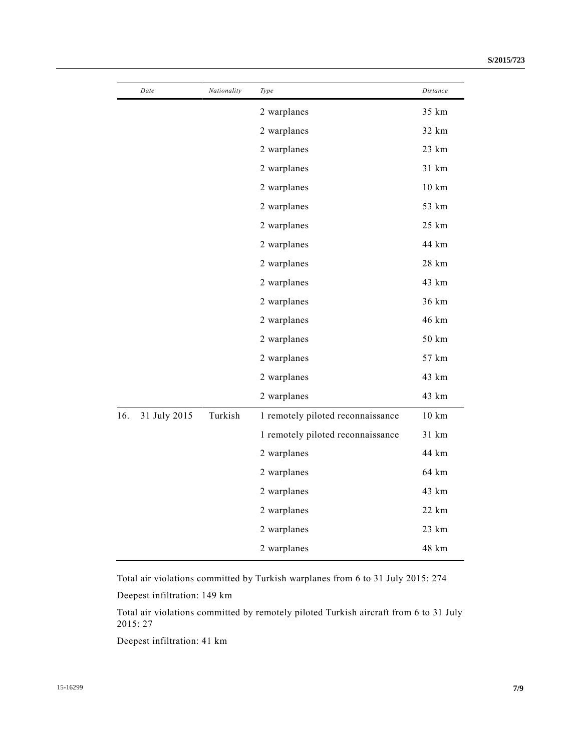|     | Date         | Nationality | Type                              | Distance |
|-----|--------------|-------------|-----------------------------------|----------|
|     |              |             | 2 warplanes                       | 35 km    |
|     |              |             | 2 warplanes                       | 32 km    |
|     |              |             | 2 warplanes                       | 23 km    |
|     |              |             | 2 warplanes                       | 31 km    |
|     |              |             | 2 warplanes                       | 10 km    |
|     |              |             | 2 warplanes                       | 53 km    |
|     |              |             | 2 warplanes                       | 25 km    |
|     |              |             | 2 warplanes                       | 44 km    |
|     |              |             | 2 warplanes                       | 28 km    |
|     |              |             | 2 warplanes                       | 43 km    |
|     |              |             | 2 warplanes                       | 36 km    |
|     |              |             | 2 warplanes                       | 46 km    |
|     |              |             | 2 warplanes                       | 50 km    |
|     |              |             | 2 warplanes                       | 57 km    |
|     |              |             | 2 warplanes                       | 43 km    |
|     |              |             | 2 warplanes                       | 43 km    |
| 16. | 31 July 2015 | Turkish     | 1 remotely piloted reconnaissance | 10 km    |
|     |              |             | 1 remotely piloted reconnaissance | 31 km    |
|     |              |             | 2 warplanes                       | 44 km    |
|     |              |             | 2 warplanes                       | 64 km    |
|     |              |             | 2 warplanes                       | 43 km    |
|     |              |             | 2 warplanes                       | 22 km    |
|     |              |             | 2 warplanes                       | 23 km    |
|     |              |             | 2 warplanes                       | 48 km    |
|     |              |             |                                   |          |

Total air violations committed by Turkish warplanes from 6 to 31 July 2015: 274

Deepest infiltration: 149 km

Total air violations committed by remotely piloted Turkish aircraft from 6 to 31 July 2015: 27

Deepest infiltration: 41 km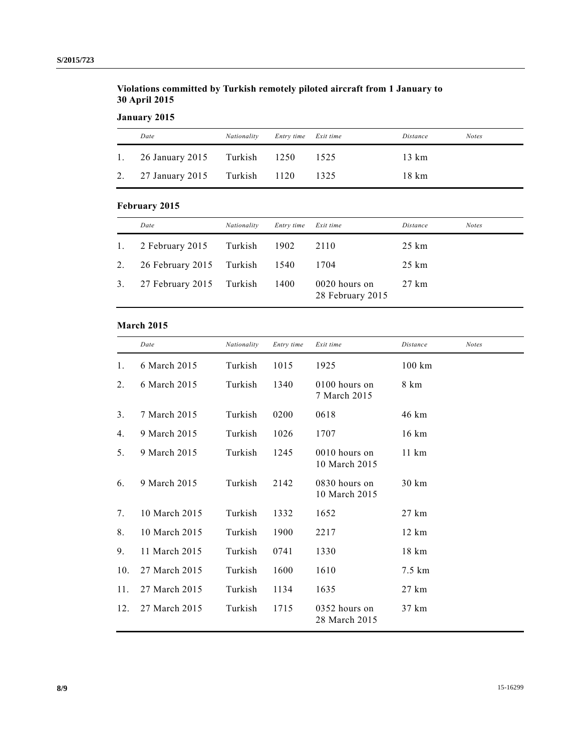## **Violations committed by Turkish remotely piloted aircraft from 1 January to 30 April 2015**

**January 2015**

| Date                            | Nationality | Entry time Exit time |       | Distance | <b>Notes</b> |
|---------------------------------|-------------|----------------------|-------|----------|--------------|
| 1. 26 January 2015 Turkish 1250 |             |                      | -1525 | 13 km    |              |
| 2. 27 January 2015 Turkish 1120 |             |                      | 1325  | 18 km    |              |

# **February 2015**

|                | Date                     | Nationality | Entry time | Exit time                         | Distance        | <b>Notes</b> |
|----------------|--------------------------|-------------|------------|-----------------------------------|-----------------|--------------|
| $\mathbf{1}$ . | 2 February 2015          | Turkish     | 1902       | 2110                              | $25 \text{ km}$ |              |
| 2.             | 26 February 2015 Turkish |             | 1540       | 1704                              | $25 \text{ km}$ |              |
| 3.             | 27 February 2015 Turkish |             | 1400       | 0020 hours on<br>28 February 2015 | 27 km           |              |

#### **March 2015**

|     | Date          | Nationality | Entry time | Exit time                        | Distance         | <b>Notes</b> |
|-----|---------------|-------------|------------|----------------------------------|------------------|--------------|
| 1.  | 6 March 2015  | Turkish     | 1015       | 1925                             | $100 \text{ km}$ |              |
| 2.  | 6 March 2015  | Turkish     | 1340       | 0100 hours on<br>7 March 2015    | 8 km             |              |
| 3.  | 7 March 2015  | Turkish     | 0200       | 0618                             | 46 km            |              |
| 4.  | 9 March 2015  | Turkish     | 1026       | 1707                             | 16 km            |              |
| 5.  | 9 March 2015  | Turkish     | 1245       | $0010$ hours on<br>10 March 2015 | $11 \text{ km}$  |              |
| 6.  | 9 March 2015  | Turkish     | 2142       | 0830 hours on<br>10 March 2015   | 30 km            |              |
| 7.  | 10 March 2015 | Turkish     | 1332       | 1652                             | $27 \text{ km}$  |              |
| 8.  | 10 March 2015 | Turkish     | 1900       | 2217                             | $12 \text{ km}$  |              |
| 9.  | 11 March 2015 | Turkish     | 0741       | 1330                             | 18 km            |              |
| 10. | 27 March 2015 | Turkish     | 1600       | 1610                             | 7.5 km           |              |
| 11. | 27 March 2015 | Turkish     | 1134       | 1635                             | 27 km            |              |
| 12. | 27 March 2015 | Turkish     | 1715       | $0352$ hours on<br>28 March 2015 | 37 km            |              |